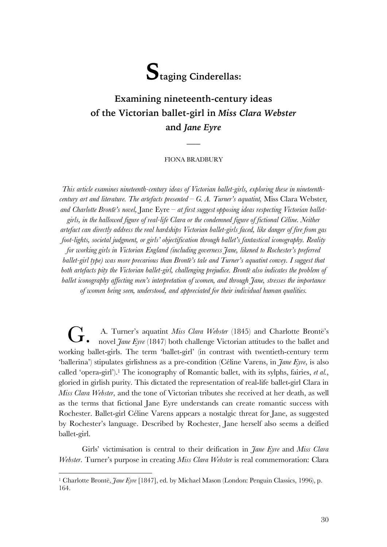

# **Examining nineteenth-century ideas of the Victorian ballet-girl in** *Miss Clara Webster* **and** *Jane Eyre*

### FIONA BRADBURY

 $\overline{\phantom{a}}$ 

*This article examines nineteenth-century ideas of Victorian ballet-girls, exploring these in nineteenthcentury art and literature. The artefacts presented – G. A. Turner's aquatint,* Miss Clara Webster*, and Charlotte Brontë's novel,* Jane Eyre *– at first suggest opposing ideas respecting Victorian balletgirls, in the hallowed figure of real-life Clara or the condemned figure of fictional Céline. Neither artefact can directly address the real hardships Victorian ballet-girls faced, like danger of fire from gas foot-lights, societal judgment, or girls' objectification through ballet's fantastical iconography. Reality for working girls in Victorian England (including governess Jane, likened to Rochester's preferred ballet-girl type) was more precarious than Brontë's tale and Turner's aquatint convey. I suggest that both artefacts pity the Victorian ballet-girl, challenging prejudice. Brontëalso indicates the problem of ballet iconography affecting men's interpretation of women, and through Jane, stresses the importance of women being seen, understood, and appreciated for their individual human qualities.*

G. A. Turner's aquatint *Miss Clara Webster* (1845) and Charlotte Brontë's<br>novel *Jane Eyre* (1847) both challenge Victorian attitudes to the ballet and A. Turner's aquatint Miss Clara Webster (1845) and Charlotte Bronte's working ballet-girls. The term 'ballet-girl' (in contrast with twentieth-century term 'ballerina') stipulates girlishness as a pre-condition (Céline Varens, in *Jane Eyre*, is also called 'opera-girl'). <sup>1</sup> The iconography of Romantic ballet, with its sylphs, fairies, *et al.*, gloried in girlish purity. This dictated the representation of real-life ballet-girl Clara in *Miss Clara Webster*, and the tone of Victorian tributes she received at her death, as well as the terms that fictional Jane Eyre understands can create romantic success with Rochester. Ballet-girl Céline Varens appears a nostalgic threat for Jane, as suggested by Rochester's language. Described by Rochester, Jane herself also seems a deified ballet-girl.

Girls' victimisation is central to their deification in *Jane Eyre* and *Miss Clara Webster*. Turner's purpose in creating *Miss Clara Webster* is real commemoration: Clara

 <sup>1</sup> Charlotte Brontë, *Jane Eyre* [1847], ed. by Michael Mason (London: Penguin Classics, 1996), p. 164.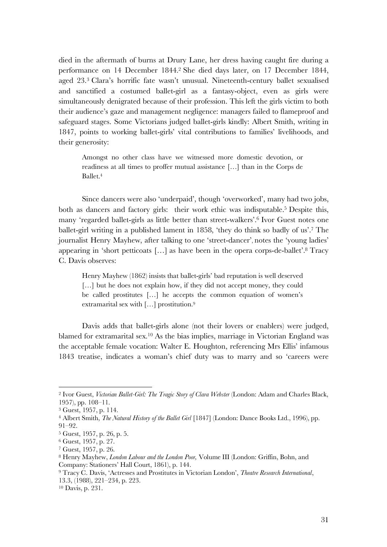died in the aftermath of burns at Drury Lane, her dress having caught fire during a performance on 14 December 1844. <sup>2</sup> She died days later, on 17 December 1844, aged 23.3 Clara's horrific fate wasn't unusual. Nineteenth-century ballet sexualised and sanctified a costumed ballet-girl as a fantasy-object, even as girls were simultaneously denigrated because of their profession. This left the girls victim to both their audience's gaze and management negligence: managers failed to flameproof and safeguard stages. Some Victorians judged ballet-girls kindly: Albert Smith, writing in 1847, points to working ballet-girls' vital contributions to families' livelihoods, and their generosity:

Amongst no other class have we witnessed more domestic devotion, or readiness at all times to proffer mutual assistance […] than in the Corps de Ballet.4

Since dancers were also 'underpaid', though 'overworked', many had two jobs, both as dancers and factory girls: their work ethic was indisputable.<sup>5</sup> Despite this, many 'regarded ballet-girls as little better than street-walkers'. <sup>6</sup> Ivor Guest notes one ballet-girl writing in a published lament in 1858, 'they do think so badly of us'.7 The journalist Henry Mayhew, after talking to one 'street-dancer', notes the 'young ladies' appearing in 'short petticoats […] as have been in the opera corps-de-ballet'. <sup>8</sup> Tracy C. Davis observes:

Henry Mayhew (1862) insists that ballet-girls' bad reputation is well deserved [...] but he does not explain how, if they did not accept money, they could be called prostitutes […] he accepts the common equation of women's extramarital sex with […] prostitution.9

Davis adds that ballet-girls alone (not their lovers or enablers) were judged, blamed for extramarital sex.<sup>10</sup> As the bias implies, marriage in Victorian England was the acceptable female vocation: Walter E. Houghton, referencing Mrs Ellis' infamous 1843 treatise, indicates a woman's chief duty was to marry and so 'careers were

 <sup>2</sup> Ivor Guest, *Victorian Ballet-Girl: The Tragic Story of Clara Webster* (London: Adam and Charles Black, 1957), pp. 108–11.

<sup>3</sup> Guest, 1957, p. 114.

<sup>4</sup> Albert Smith, *The Natural History of the Ballet Girl* [1847] (London: Dance Books Ltd., 1996), pp. 91–92.

<sup>5</sup> Guest, 1957, p. 26, p. 5.

<sup>6</sup> Guest, 1957, p. 27.

<sup>7</sup> Guest, 1957, p. 26.

<sup>8</sup> Henry Mayhew, *London Labour and the London Poor,* Volume III (London: Griffin, Bohn, and Company: Stationers' Hall Court, 1861), p. 144.

<sup>9</sup> Tracy C. Davis, 'Actresses and Prostitutes in Victorian London', *Theatre Research International*, 13.3, (1988), 221–234, p. 223.

<sup>10</sup> Davis, p. 231.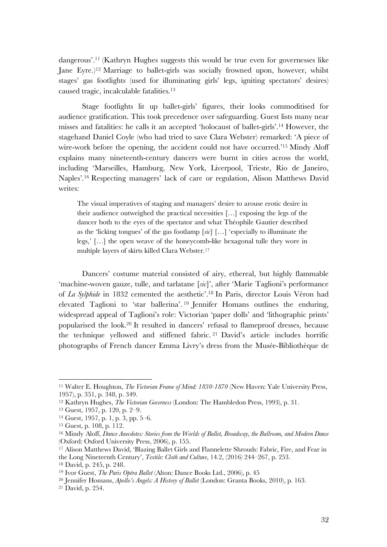dangerous'. <sup>11</sup> (Kathryn Hughes suggests this would be true even for governesses like Jane Eyre.)12 Marriage to ballet-girls was socially frowned upon, however, whilst stages' gas footlights (used for illuminating girls' legs, igniting spectators' desires) caused tragic, incalculable fatalities. 13

Stage footlights lit up ballet-girls' figures, their looks commoditised for audience gratification. This took precedence over safeguarding. Guest lists many near misses and fatalities: he calls it an accepted 'holocaust of ballet-girls'. <sup>14</sup> However, the stagehand Daniel Coyle (who had tried to save Clara Webster) remarked: 'A piece of wire-work before the opening, the accident could not have occurred.'<sup>15</sup> Mindy Aloff explains many nineteenth-century dancers were burnt in cities across the world, including 'Marseilles, Hamburg, New York, Liverpool, Trieste, Rio de Janeiro, Naples'. <sup>16</sup> Respecting managers' lack of care or regulation, Alison Matthews David writes:

The visual imperatives of staging and managers' desire to arouse erotic desire in their audience outweighed the practical necessities […] exposing the legs of the dancer both to the eyes of the spectator and what Théophile Gautier described as the 'licking tongues' of the gas footlamp [*sic*] […] 'especially to illuminate the legs,' […] the open weave of the honeycomb-like hexagonal tulle they wore in multiple layers of skirts killed Clara Webster.17

Dancers' costume material consisted of airy, ethereal, but highly flammable 'machine-woven gauze, tulle, and tarlatane [*sic*]', after 'Marie Taglioni's performance of *La Sylphide* in 1832 cemented the aesthetic'. <sup>18</sup> In Paris, director Louis Véron had elevated Taglioni to 'star ballerina'. <sup>19</sup> Jennifer Homans outlines the enduring, widespread appeal of Taglioni's role: Victorian 'paper dolls' and 'lithographic prints' popularised the look. <sup>20</sup> It resulted in dancers' refusal to flameproof dresses, because the technique yellowed and stiffened fabric. <sup>21</sup> David's article includes horrific photographs of French dancer Emma Livry's dress from the Musée-Bibliothèque de

 <sup>11</sup> Walter E. Houghton, *The Victorian Frame of Mind: 1830-1870* (New Haven: Yale University Press, 1957), p. 351, p. 348, p. 349.

<sup>12</sup> Kathryn Hughes, *The Victorian Governess* (London: The Hambledon Press, 1993), p. 31.

<sup>13</sup> Guest, 1957, p. 120, p. 2–9.

<sup>14</sup> Guest, 1957, p. 1, p. 3, pp. 5–6.

<sup>15</sup> Guest, p. 108, p. 112.

<sup>16</sup> Mindy Aloff, *Dance Anecdotes: Stories from the Worlds of Ballet, Broadway, the Ballroom, and Modern Dance*  (Oxford: Oxford University Press, 2006), p. 155.

<sup>17</sup> Alison Matthews David, 'Blazing Ballet Girls and Flannelette Shrouds: Fabric, Fire, and Fear in the Long Nineteenth Century', *Textile: Cloth and Culture*, 14.2, (2016) 244–267, p. 253.

<sup>18</sup> David, p. 245, p. 248.

<sup>19</sup> Ivor Guest, *The Paris Opéra Ballet* (Alton: Dance Books Ltd., 2006), p. 45

<sup>20</sup> Jennifer Homans, *Apollo's Angels: A History of Ballet* (London: Granta Books, 2010), p. 163.

<sup>21</sup> David, p. 254.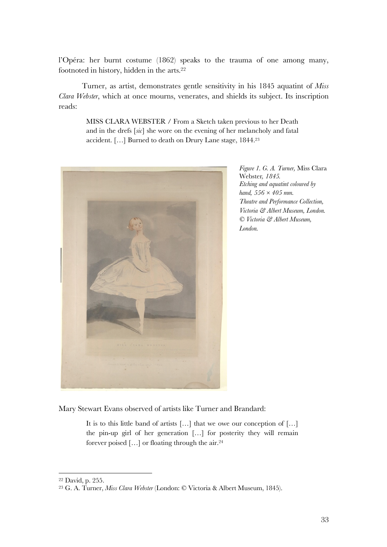l'Opéra: her burnt costume (1862) speaks to the trauma of one among many, footnoted in history, hidden in the arts.<sup>22</sup>

Turner, as artist, demonstrates gentle sensitivity in his 1845 aquatint of *Miss Clara Webster*, which at once mourns, venerates, and shields its subject. Its inscription reads:

> MISS CLARA WEBSTER / From a Sketch taken previous to her Death and in the drefs [*sic*] she wore on the evening of her melancholy and fatal accident. […] Burned to death on Drury Lane stage, 1844.23



*Figure 1. G. A. Turner,* Miss Clara Webster*, 1845. Etching and aquatint coloured by hand, 556 × 405 mm. Theatre and Performance Collection, Victoria & Albert Museum, London. © Victoria & Albert Museum, London.*

Mary Stewart Evans observed of artists like Turner and Brandard:

It is to this little band of artists […] that we owe our conception of […] the pin-up girl of her generation […] for posterity they will remain forever poised […] or floating through the air.24

 <sup>22</sup> David, p. 255.

<sup>23</sup> G. A. Turner, *Miss Clara Webster* (London: © Victoria & Albert Museum, 1845).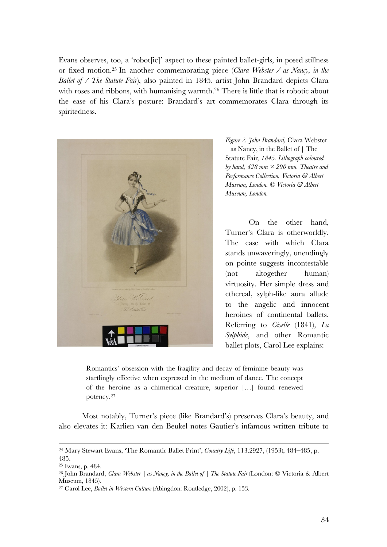Evans observes, too, a 'robot[ic]' aspect to these painted ballet-girls, in posed stillness or fixed motion. <sup>25</sup> In another commemorating piece (*Clara Webster / as Nancy, in the Ballet of / The Statute Fair*), also painted in 1845, artist John Brandard depicts Clara with roses and ribbons, with humanising warmth.<sup>26</sup> There is little that is robotic about the ease of his Clara's posture: Brandard's art commemorates Clara through its spiritedness.



*Figure 2. John Brandard,* Clara Webster | as Nancy, in the Ballet of | The Statute Fair*, 1845. Lithograph coloured by hand, 428 mm × 290 mm. Theatre and Performance Collection, Victoria & Albert Museum, London. © Victoria & Albert Museum, London.*

On the other hand, Turner's Clara is otherworldly. The ease with which Clara stands unwaveringly, unendingly on pointe suggests incontestable (not altogether human) virtuosity. Her simple dress and ethereal, sylph-like aura allude to the angelic and innocent heroines of continental ballets. Referring to *Giselle* (1841), *La Sylphide*, and other Romantic ballet plots, Carol Lee explains:

Romantics' obsession with the fragility and decay of feminine beauty was startlingly effective when expressed in the medium of dance. The concept of the heroine as a chimerical creature, superior […] found renewed potency.27

Most notably, Turner's piece (like Brandard's) preserves Clara's beauty, and also elevates it: Karlien van den Beukel notes Gautier's infamous written tribute to

 <sup>24</sup> Mary Stewart Evans, 'The Romantic Ballet Print', *Country Life*, 113.2927, (1953), 484–485, p. 485.

<sup>25</sup> Evans, p. 484.

<sup>26</sup> John Brandard, *Clara Webster | as Nancy, in the Ballet of | The Statute Fair* (London: © Victoria & Albert Museum, 1845).

<sup>27</sup> Carol Lee, *Ballet in Western Culture* (Abingdon: Routledge, 2002), p. 153.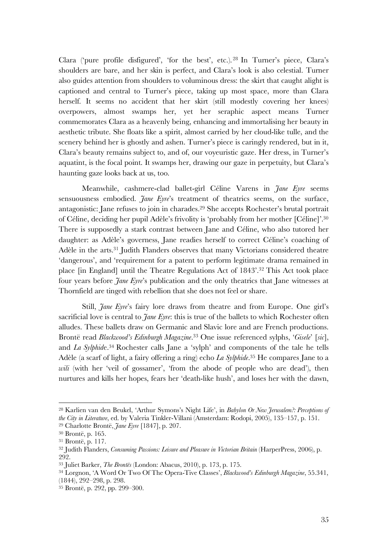Clara ('pure profile disfigured', 'for the best', etc.). <sup>28</sup> In Turner's piece, Clara's shoulders are bare, and her skin is perfect, and Clara's look is also celestial. Turner also guides attention from shoulders to voluminous dress: the skirt that caught alight is captioned and central to Turner's piece, taking up most space, more than Clara herself. It seems no accident that her skirt (still modestly covering her knees) overpowers, almost swamps her, yet her seraphic aspect means Turner commemorates Clara as a heavenly being, enhancing and immortalising her beauty in aesthetic tribute. She floats like a spirit, almost carried by her cloud-like tulle, and the scenery behind her is ghostly and ashen. Turner's piece is caringly rendered, but in it, Clara's beauty remains subject to, and of, our voyeuristic gaze. Her dress, in Turner's aquatint, is the focal point. It swamps her, drawing our gaze in perpetuity, but Clara's haunting gaze looks back at us, too.

Meanwhile, cashmere-clad ballet-girl Céline Varens in *Jane Eyre* seems sensuousness embodied. *Jane Eyre*'s treatment of theatrics seems, on the surface, antagonistic: Jane refuses to join in charades. <sup>29</sup> She accepts Rochester's brutal portrait of Céline, deciding her pupil Adèle's frivolity is 'probably from her mother [Céline]'. 30 There is supposedly a stark contrast between Jane and Céline, who also tutored her daughter: as Adèle's governess, Jane readies herself to correct Céline's coaching of Adèle in the arts.31 Judith Flanders observes that many Victorians considered theatre 'dangerous', and 'requirement for a patent to perform legitimate drama remained in place [in England] until the Theatre Regulations Act of 1843'. <sup>32</sup> This Act took place four years before *Jane Eyre*'s publication and the only theatrics that Jane witnesses at Thornfield are tinged with rebellion that she does not feel or share.

Still, *Jane Eyre*'s fairy lore draws from theatre and from Europe. One girl's sacrificial love is central to *Jane Eyre*: this is true of the ballets to which Rochester often alludes. These ballets draw on Germanic and Slavic lore and are French productions. Brontë read *Blackwood's Edinburgh Magazine*. <sup>33</sup> One issue referenced sylphs, '*Gisele*' [*sic*], and *La Sylphid*e.34 Rochester calls Jane a 'sylph' and components of the tale he tells Adèle (a scarf of light, a fairy offering a ring) echo *La Sylphide*. <sup>35</sup> He compares Jane to a *wili* (with her 'veil of gossamer', 'from the abode of people who are dead'), then nurtures and kills her hopes, fears her 'death-like hush', and loses her with the dawn,

 <sup>28</sup> Karlien van den Beukel, 'Arthur Symons's Night Life', in *Babylon Or New Jerusalem?: Perceptions of the City in Literature*, ed. by Valeria Tinkler-Villani (Amsterdam: Rodopi, 2005), 135–157, p. 151.

<sup>29</sup> Charlotte Brontë, *Jane Eyre* [1847], p. 207.

<sup>30</sup> Brontë, p. 165.

<sup>31</sup> Brontë, p. 117.

<sup>32</sup> Judith Flanders, *Consuming Passions: Leisure and Pleasure in Victorian Britain* (HarperPress, 2006), p. 292.

<sup>33</sup> Juliet Barker, *The Brontës* (London: Abacus, 2010), p. 173, p. 175.

<sup>34</sup> Lorgnon, 'A Word Or Two Of The Opera-Tive Classes', *Blackwood's Edinburgh Magazine*, 55.341, (1844), 292–298, p. 298.

<sup>35</sup> Brontë, p. 292, pp. 299–300.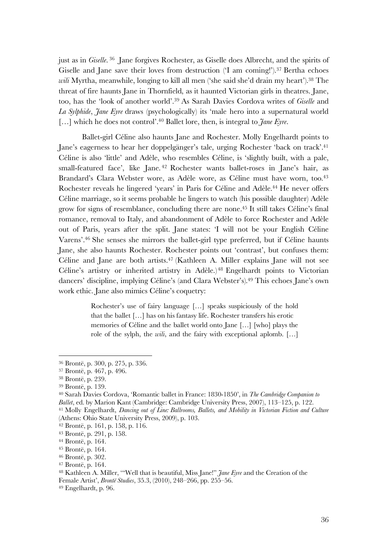just as in *Giselle*. <sup>36</sup> Jane forgives Rochester, as Giselle does Albrecht, and the spirits of Giselle and Jane save their loves from destruction ('I am coming!'). <sup>37</sup> Bertha echoes *wili* Myrtha, meanwhile, longing to kill all men ('she said she'd drain my heart'). <sup>38</sup> The threat of fire haunts Jane in Thornfield, as it haunted Victorian girls in theatres. Jane, too, has the 'look of another world'.39 As Sarah Davies Cordova writes of *Giselle* and *La Sylphide*, *Jane Eyre* draws (psychologically) its 'male hero into a supernatural world [...] which he does not control'.<sup>40</sup> Ballet lore, then, is integral to *Jane Eyre*.

Ballet-girl Céline also haunts Jane and Rochester. Molly Engelhardt points to Jane's eagerness to hear her doppelgänger's tale, urging Rochester 'back on track'.41 Céline is also 'little' and Adèle, who resembles Céline, is 'slightly built, with a pale, small-featured face', like Jane. <sup>42</sup> Rochester wants ballet-roses in Jane's hair, as Brandard's Clara Webster wore, as Adèle wore, as Céline must have worn, too.<sup>43</sup> Rochester reveals he lingered 'years' in Paris for Céline and Adèle. <sup>44</sup> He never offers Céline marriage, so it seems probable he lingers to watch (his possible daughter) Adèle grow for signs of resemblance, concluding there are none.45 It still takes Céline's final romance, removal to Italy, and abandonment of Adèle to force Rochester and Adèle out of Paris, years after the split. Jane states: 'I will not be your English Céline Varens'. <sup>46</sup> She senses she mirrors the ballet-girl type preferred, but if Céline haunts Jane, she also haunts Rochester. Rochester points out 'contrast', but confuses them: Céline and Jane are both artists.47 (Kathleen A. Miller explains Jane will not see Céline's artistry or inherited artistry in Adèle.)48 Engelhardt points to Victorian dancers' discipline, implying Céline's (and Clara Webster's).49 This echoes Jane's own work ethic. Jane also mimics Céline's coquetry:

> Rochester's use of fairy language […] speaks suspiciously of the hold that the ballet […] has on his fantasy life. Rochester transfers his erotic memories of Céline and the ballet world onto Jane […] [who] plays the role of the sylph, the *wili*, and the fairy with exceptional aplomb. […]

<sup>40</sup> Sarah Davies Cordova, 'Romantic ballet in France: 1830-1850', in *The Cambridge Companion to Ballet*, ed. by Marion Kant (Cambridge: Cambridge University Press, 2007), 113–125, p. 122.

<sup>41</sup> Molly Engelhardt, *Dancing out of Line: Ballrooms, Ballets, and Mobility in Victorian Fiction and Culture* (Athens: Ohio State University Press, 2009), p. 103.

 <sup>36</sup> Brontë, p. 300, p. 275, p. 336.

<sup>37</sup> Brontë, p. 467, p. 496.

<sup>38</sup> Brontë, p. 239.

<sup>39</sup> Brontë, p. 139.

<sup>42</sup> Brontë, p. 161, p. 158, p. 116.

<sup>43</sup> Brontë, p. 291, p. 158.

<sup>44</sup> Brontë, p. 164.

<sup>45</sup> Brontë, p. 164.

<sup>46</sup> Brontë, p. 302.

<sup>47</sup> Brontë, p. 164.

<sup>48</sup> Kathleen A. Miller, '"Well that is beautiful, Miss Jane!" *Jane Eyre* and the Creation of the Female Artist', *Brontë Studies*, 35.3, (2010), 248–266, pp. 255–56.

<sup>49</sup> Engelhardt, p. 96.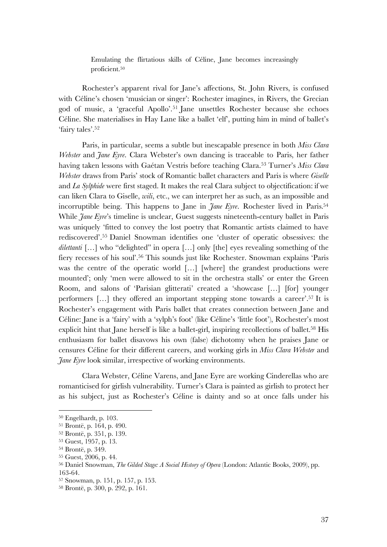Emulating the flirtatious skills of Céline, Jane becomes increasingly proficient.50

Rochester's apparent rival for Jane's affections, St. John Rivers, is confused with Céline's chosen 'musician or singer': Rochester imagines, in Rivers, the Grecian god of music, a 'graceful Apollo'.51 Jane unsettles Rochester because she echoes Céline. She materialises in Hay Lane like a ballet 'elf', putting him in mind of ballet's 'fairy tales'.52

Paris, in particular, seems a subtle but inescapable presence in both *Miss Clara Webster* and *Jane Eyre*. Clara Webster's own dancing is traceable to Paris, her father having taken lessons with Gaétan Vestris before teaching Clara.53 Turner's *Miss Clara Webster* draws from Paris' stock of Romantic ballet characters and Paris is where *Giselle*  and *La Sylphide* were first staged. It makes the real Clara subject to objectification: if we can liken Clara to Giselle, *wili*, etc., we can interpret her as such, as an impossible and incorruptible being. This happens to Jane in *Jane Eyre*. Rochester lived in Paris. 54 While *Jane Eyre's* timeline is unclear, Guest suggests nineteenth-century ballet in Paris was uniquely 'fitted to convey the lost poetry that Romantic artists claimed to have rediscovered'. <sup>55</sup> Daniel Snowman identifies one 'cluster of operatic obsessives: the dilettanti [...] who "delighted" in opera [...] only [the] eyes revealing something of the fiery recesses of his soul'. <sup>56</sup> This sounds just like Rochester. Snowman explains 'Paris was the centre of the operatic world [...] [where] the grandest productions were mounted'; only 'men were allowed to sit in the orchestra stalls' or enter the Green Room, and salons of 'Parisian glitterati' created a 'showcase […] [for] younger performers […] they offered an important stepping stone towards a career'. <sup>57</sup> It is Rochester's engagement with Paris ballet that creates connection between Jane and Céline: Jane is a 'fairy' with a 'sylph's foot' (like Céline's 'little foot'), Rochester's most explicit hint that Jane herself is like a ballet-girl, inspiring recollections of ballet.<sup>58</sup> His enthusiasm for ballet disavows his own (false) dichotomy when he praises Jane or censures Céline for their different careers, and working girls in *Miss Clara Webster* and *Jane Eyre* look similar, irrespective of working environments.

Clara Webster, Céline Varens, and Jane Eyre are working Cinderellas who are romanticised for girlish vulnerability. Turner's Clara is painted as girlish to protect her as his subject, just as Rochester's Céline is dainty and so at once falls under his

 <sup>50</sup> Engelhardt, p. 103.

<sup>51</sup> Brontë, p. 164, p. 490.

<sup>52</sup> Brontë, p. 351, p. 139.

<sup>53</sup> Guest, 1957, p. 13.

<sup>54</sup> Brontë, p. 349.

<sup>55</sup> Guest, 2006, p. 44.

<sup>56</sup> Daniel Snowman, *The Gilded Stage: A Social History of Opera* (London: Atlantic Books, 2009), pp. 163-64.

<sup>57</sup> Snowman, p. 151, p. 157, p. 153.

<sup>58</sup> Brontë, p. 300, p. 292, p. 161.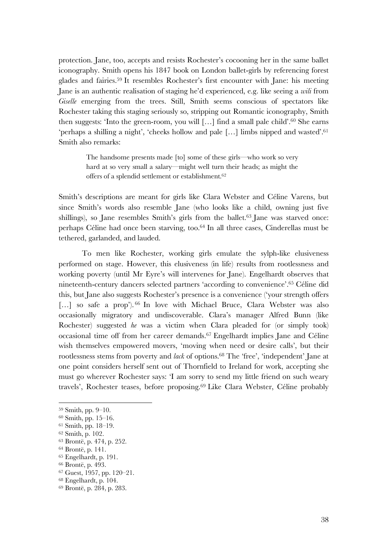protection. Jane, too, accepts and resists Rochester's cocooning her in the same ballet iconography. Smith opens his 1847 book on London ballet-girls by referencing forest glades and fairies. <sup>59</sup> It resembles Rochester's first encounter with Jane: his meeting Jane is an authentic realisation of staging he'd experienced, e.g. like seeing a *wili* from *Giselle* emerging from the trees. Still, Smith seems conscious of spectators like Rochester taking this staging seriously so, stripping out Romantic iconography, Smith then suggests: 'Into the green-room, you will […] find a small pale child'. <sup>60</sup> She earns 'perhaps a shilling a night', 'cheeks hollow and pale […] limbs nipped and wasted'. 61 Smith also remarks:

> The handsome presents made [to] some of these girls—who work so very hard at so very small a salary—might well turn their heads; as might the offers of a splendid settlement or establishment.62

Smith's descriptions are meant for girls like Clara Webster and Céline Varens, but since Smith's words also resemble Jane (who looks like a child, owning just five shillings), so Jane resembles Smith's girls from the ballet. <sup>63</sup> Jane was starved once: perhaps Céline had once been starving, too.64 In all three cases, Cinderellas must be tethered, garlanded, and lauded.

To men like Rochester, working girls emulate the sylph-like elusiveness performed on stage. However, this elusiveness (in life) results from rootlessness and working poverty (until Mr Eyre's will intervenes for Jane). Engelhardt observes that nineteenth-century dancers selected partners 'according to convenience'. <sup>65</sup> Céline did this, but Jane also suggests Rochester's presence is a convenience ('your strength offers [...] so safe a prop'). <sup>66</sup> In love with Michael Bruce, Clara Webster was also occasionally migratory and undiscoverable. Clara's manager Alfred Bunn (like Rochester) suggested *he* was a victim when Clara pleaded for (or simply took) occasional time off from her career demands. <sup>67</sup> Engelhardt implies Jane and Céline wish themselves empowered movers, 'moving when need or desire calls', but their rootlessness stems from poverty and *lack* of options. <sup>68</sup> The 'free', 'independent' Jane at one point considers herself sent out of Thornfield to Ireland for work, accepting she must go wherever Rochester says: 'I am sorry to send my little friend on such weary travels', Rochester teases, before proposing. <sup>69</sup> Like Clara Webster, Céline probably

 <sup>59</sup> Smith, pp. 9–10.

<sup>60</sup> Smith, pp. 15–16.

<sup>61</sup> Smith, pp. 18–19.

<sup>62</sup> Smith, p. 102.

<sup>63</sup> Brontë, p. 474, p. 252. <sup>64</sup> Brontë, p. 141.

<sup>65</sup> Engelhardt, p. 191.

<sup>66</sup> Brontë, p. 493.

<sup>67</sup> Guest, 1957, pp. 120–21.

<sup>68</sup> Engelhardt, p. 104.

<sup>69</sup> Brontë, p. 284, p. 283.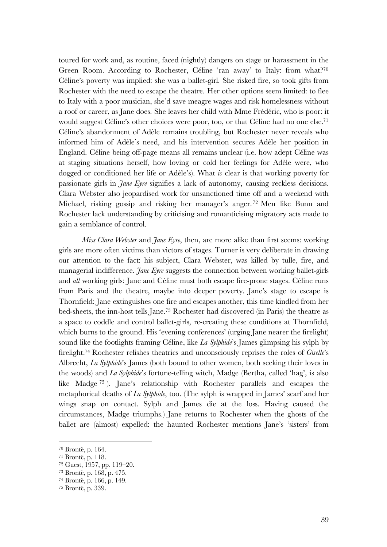toured for work and, as routine, faced (nightly) dangers on stage or harassment in the Green Room. According to Rochester, Céline 'ran away' to Italy: from what?<sup>70</sup> Céline's poverty was implied: she was a ballet-girl. She risked fire, so took gifts from Rochester with the need to escape the theatre. Her other options seem limited: to flee to Italy with a poor musician, she'd save meagre wages and risk homelessness without a roof or career, as Jane does. She leaves her child with Mme Frédéric, who is poor: it would suggest Céline's other choices were poor, too, or that Céline had no one else. 71 Céline's abandonment of Adèle remains troubling, but Rochester never reveals who informed him of Adèle's need, and his intervention secures Adèle her position in England. Céline being off-page means all remains unclear (i.e. how adept Céline was at staging situations herself, how loving or cold her feelings for Adèle were, who dogged or conditioned her life or Adèle's). What *is* clear is that working poverty for passionate girls in *Jane Eyre* signifies a lack of autonomy, causing reckless decisions. Clara Webster also jeopardised work for unsanctioned time off and a weekend with Michael, risking gossip and risking her manager's anger. <sup>72</sup> Men like Bunn and Rochester lack understanding by criticising and romanticising migratory acts made to gain a semblance of control.

*Miss Clara Webster* and *Jane Eyre*, then, are more alike than first seems: working girls are more often victims than victors of stages. Turner is very deliberate in drawing our attention to the fact: his subject, Clara Webster, was killed by tulle, fire, and managerial indifference. *Jane Eyre* suggests the connection between working ballet-girls and *all* working girls: Jane and Céline must both escape fire-prone stages. Céline runs from Paris and the theatre, maybe into deeper poverty. Jane's stage to escape is Thornfield: Jane extinguishes one fire and escapes another, this time kindled from her bed-sheets, the inn-host tells Jane.73 Rochester had discovered (in Paris) the theatre as a space to coddle and control ballet-girls, re-creating these conditions at Thornfield, which burns to the ground. His 'evening conferences' (urging Jane nearer the firelight) sound like the footlights framing Céline, like *La Sylphide*'s James glimpsing his sylph by firelight.74 Rochester relishes theatrics and unconsciously reprises the roles of *Giselle*'s Albrecht, *La Sylphide*'s James (both bound to other women, both seeking their loves in the woods) and *La Sylphide*'s fortune-telling witch, Madge (Bertha, called 'hag', is also like Madge <sup>75</sup> ). Jane's relationship with Rochester parallels and escapes the metaphorical deaths of *La Sylphide*, too. (The sylph is wrapped in James' scarf and her wings snap on contact. Sylph and James die at the loss. Having caused the circumstances, Madge triumphs.) Jane returns to Rochester when the ghosts of the ballet are (almost) expelled: the haunted Rochester mentions Jane's 'sisters' from

 <sup>70</sup> Brontë, p. 164.

<sup>71</sup> Brontë, p. 118.

<sup>72</sup> Guest, 1957, pp. 119–20.

<sup>73</sup> Brontë, p. 168, p. 475.

<sup>74</sup> Brontë, p. 166, p. 149.

<sup>75</sup> Brontë, p. 339.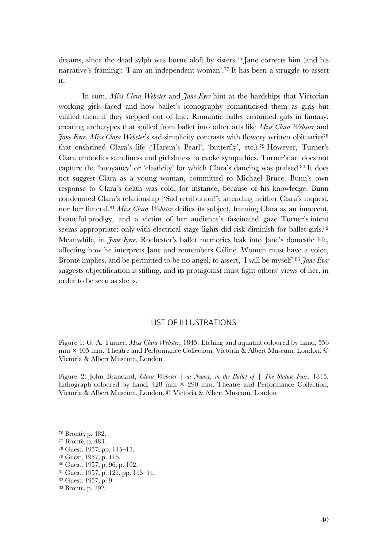dreams, since the dead sylph was borne aloft by sisters.76 Jane corrects him (and his narrative's framing): 'I am an independent woman'. <sup>77</sup> It has been a struggle to assert it.

In sum, *Miss Clara Webster* and *Jane Eyre* hint at the hardships that Victorian working girls faced and how ballet's iconography romanticised them as girls but vilified them if they stepped out of line. Romantic ballet costumed girls in fantasy, creating archetypes that spilled from ballet into other arts like *Miss Clara Webster* and *Jane Eyre. Miss Clara Webster's sad simplicity contrasts with flowery written obituaries*<sup>78</sup> that enshrined Clara's life ('Harem's Pearl', 'butterfly', etc.).79 However, Turner's Clara embodies saintliness and girlishness to evoke sympathies. Turner's art does not capture the 'buoyancy' or 'elasticity' for which Clara's dancing was praised. <sup>80</sup> It does not suggest Clara as a young woman, committed to Michael Bruce. Bunn's own response to Clara's death was cold, for instance, because of his knowledge. Bunn condemned Clara's relationship ('Sad retribution!'), attending neither Clara's inquest, nor her funeral. <sup>81</sup> *Miss Clara Webster* deifies its subject, framing Clara as an innocent, beautiful prodigy, and a victim of her audience's fascinated gaze. Turner's intent seems appropriate: only with electrical stage lights did risk diminish for ballet-girls.<sup>82</sup> Meanwhile, in *Jane Eyre*, Rochester's ballet memories leak into Jane's domestic life, affecting how he interprets Jane and remembers Céline. Women must have a voice, Brontë implies, and be permitted to be no angel, to assert, 'I will be myself'.<sup>83</sup> Jane Eyre suggests objectification is stifling, and its protagonist must fight others' views of her, in order to be seen as she is.

## LIST OF ILLUSTRATIONS

Figure 1: G. A. Turner, *Miss Clara Webster*, 1845. Etching and aquatint coloured by hand, 556 mm × 405 mm. Theatre and Performance Collection, Victoria & Albert Museum, London. © Victoria & Albert Museum, London

Figure 2: John Brandard, *Clara Webster | as Nancy, in the Ballet of | The Statute Fair*, 1845. Lithograph coloured by hand,  $428$  mm  $\times$  290 mm. Theatre and Performance Collection, Victoria & Albert Museum, London. © Victoria & Albert Museum, London

 <sup>76</sup> Brontë, p. 482.

<sup>77</sup> Brontë, p. 483.

<sup>78</sup> Guest, 1957, pp. 115–17.

<sup>79</sup> Guest, 1957, p. 116.

<sup>80</sup> Guest, 1957, p. 96, p. 102.

<sup>81</sup> Guest, 1957, p. 121, pp. 113–14.

<sup>82</sup> Guest, 1957, p. 9.

<sup>83</sup> Brontë, p. 292.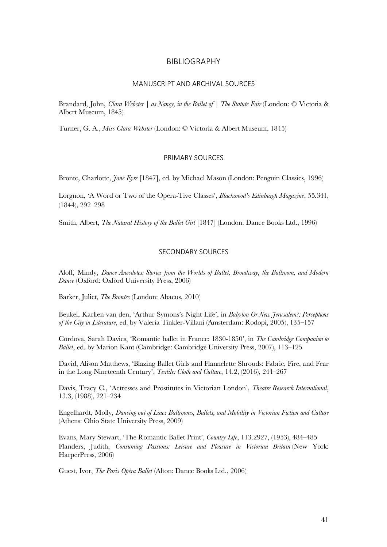## BIBLIOGRAPHY

#### MANUSCRIPT AND ARCHIVAL SOURCES

Brandard, John, *Clara Webster | as Nancy, in the Ballet of | The Statute Fair* (London: © Victoria & Albert Museum, 1845)

Turner, G. A., *Miss Clara Webster* (London: © Victoria & Albert Museum, 1845)

#### PRIMARY SOURCES

Brontë, Charlotte, *Jane Eyre* [1847], ed. by Michael Mason (London: Penguin Classics, 1996)

Lorgnon, 'A Word or Two of the Opera-Tive Classes', *Blackwood's Edinburgh Magazine*, 55*.*341, (1844), 292–298

Smith, Albert, *The Natural History of the Ballet Girl* [1847] (London: Dance Books Ltd., 1996)

## SECONDARY SOURCES

Aloff, Mindy, *Dance Anecdotes: Stories from the Worlds of Ballet, Broadway, the Ballroom, and Modern Dance* (Oxford: Oxford University Press, 2006)

Barker, Juliet, *The Brontes̈* (London: Abacus, 2010)

Beukel, Karlien van den, 'Arthur Symons's Night Life', in *Babylon Or New Jerusalem?: Perceptions of the City in Literature*, ed. by Valeria Tinkler-Villani (Amsterdam: Rodopi, 2005), 135–157

Cordova, Sarah Davies, 'Romantic ballet in France: 1830-1850', in *The Cambridge Companion to Ballet*, ed. by Marion Kant (Cambridge: Cambridge University Press, 2007), 113–125

David, Alison Matthews, 'Blazing Ballet Girls and Flannelette Shrouds: Fabric, Fire, and Fear in the Long Nineteenth Century', *Textile: Cloth and Culture*, 14.2, (2016), 244–267

Davis, Tracy C., 'Actresses and Prostitutes in Victorian London', *Theatre Research International*, 13.3, (1988), 221–234

Engelhardt, Molly, *Dancing out of Line: Ballrooms, Ballets, and Mobility in Victorian Fiction and Culture* (Athens: Ohio State University Press, 2009)

Evans, Mary Stewart, 'The Romantic Ballet Print', *Country Life*, 113.2927, (1953), 484–485 Flanders, Judith, *Consuming Passions: Leisure and Pleasure in Victorian Britain* (New York: HarperPress, 2006)

Guest, Ivor, *The Paris Opéra Ballet* (Alton: Dance Books Ltd., 2006)